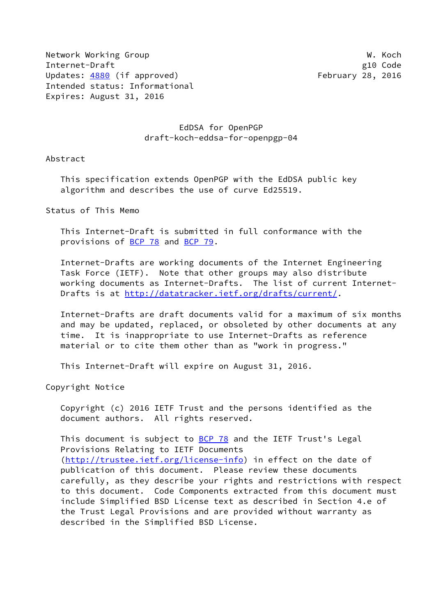Network Working Group Network Working Group Network W. Koch Internet-Draft g10 Code Updates: [4880](https://datatracker.ietf.org/doc/pdf/rfc4880) (if approved) February 28, 2016 Intended status: Informational Expires: August 31, 2016

## EdDSA for OpenPGP draft-koch-eddsa-for-openpgp-04

Abstract

 This specification extends OpenPGP with the EdDSA public key algorithm and describes the use of curve Ed25519.

Status of This Memo

 This Internet-Draft is submitted in full conformance with the provisions of [BCP 78](https://datatracker.ietf.org/doc/pdf/bcp78) and [BCP 79](https://datatracker.ietf.org/doc/pdf/bcp79).

 Internet-Drafts are working documents of the Internet Engineering Task Force (IETF). Note that other groups may also distribute working documents as Internet-Drafts. The list of current Internet Drafts is at<http://datatracker.ietf.org/drafts/current/>.

 Internet-Drafts are draft documents valid for a maximum of six months and may be updated, replaced, or obsoleted by other documents at any time. It is inappropriate to use Internet-Drafts as reference material or to cite them other than as "work in progress."

This Internet-Draft will expire on August 31, 2016.

Copyright Notice

 Copyright (c) 2016 IETF Trust and the persons identified as the document authors. All rights reserved.

This document is subject to **[BCP 78](https://datatracker.ietf.org/doc/pdf/bcp78)** and the IETF Trust's Legal Provisions Relating to IETF Documents [\(http://trustee.ietf.org/license-info](http://trustee.ietf.org/license-info)) in effect on the date of publication of this document. Please review these documents carefully, as they describe your rights and restrictions with respect to this document. Code Components extracted from this document must include Simplified BSD License text as described in Section 4.e of the Trust Legal Provisions and are provided without warranty as described in the Simplified BSD License.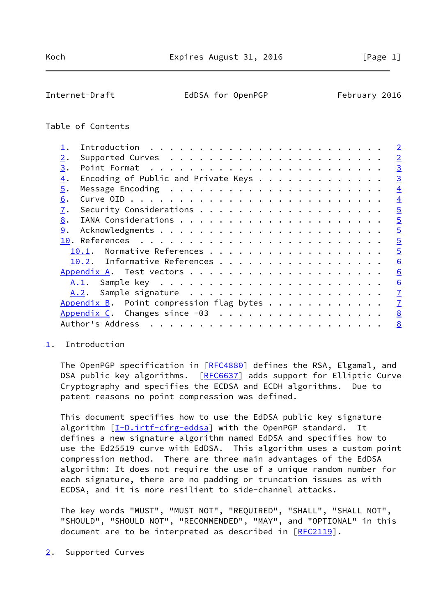## <span id="page-1-1"></span>Table of Contents

|                  |                                          | $\overline{2}$  |
|------------------|------------------------------------------|-----------------|
| 2.               |                                          | $\overline{2}$  |
| 3.               |                                          | $\overline{3}$  |
| $\overline{4}$ . | Encoding of Public and Private Keys      | $\overline{3}$  |
| 5.               |                                          | $\overline{4}$  |
| 6.               |                                          | $\overline{4}$  |
| 7.               |                                          | $\overline{5}$  |
| 8.               |                                          | $\overline{5}$  |
| 9.               |                                          | $\overline{5}$  |
|                  |                                          | $\overline{5}$  |
|                  | Normative References<br>10.1.            | $\overline{5}$  |
|                  | 10.2. Informative References             | $\underline{6}$ |
|                  |                                          | 6               |
|                  |                                          | 6               |
|                  |                                          | $\overline{1}$  |
|                  | Appendix B. Point compression flag bytes | $\overline{1}$  |
|                  | Appendix C. Changes since -03            | $\underline{8}$ |
|                  | Author's Address                         | 8               |
|                  |                                          |                 |

## <span id="page-1-0"></span>[1](#page-1-0). Introduction

The OpenPGP specification in [\[RFC4880](https://datatracker.ietf.org/doc/pdf/rfc4880)] defines the RSA, Elgamal, and DSA public key algorithms. [\[RFC6637](https://datatracker.ietf.org/doc/pdf/rfc6637)] adds support for Elliptic Curve Cryptography and specifies the ECDSA and ECDH algorithms. Due to patent reasons no point compression was defined.

 This document specifies how to use the EdDSA public key signature algorithm [[I-D.irtf-cfrg-eddsa](#page-5-5)] with the OpenPGP standard. It defines a new signature algorithm named EdDSA and specifies how to use the Ed25519 curve with EdDSA. This algorithm uses a custom point compression method. There are three main advantages of the EdDSA algorithm: It does not require the use of a unique random number for each signature, there are no padding or truncation issues as with ECDSA, and it is more resilient to side-channel attacks.

 The key words "MUST", "MUST NOT", "REQUIRED", "SHALL", "SHALL NOT", "SHOULD", "SHOULD NOT", "RECOMMENDED", "MAY", and "OPTIONAL" in this document are to be interpreted as described in [\[RFC2119](https://datatracker.ietf.org/doc/pdf/rfc2119)].

<span id="page-1-2"></span>[2](#page-1-2). Supported Curves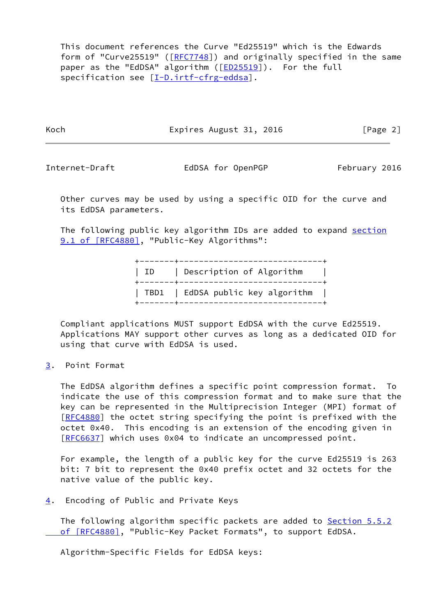This document references the Curve "Ed25519" which is the Edwards form of "Curve25519" ([[RFC7748](https://datatracker.ietf.org/doc/pdf/rfc7748)]) and originally specified in the same paper as the "EdDSA" algorithm ([\[ED25519](#page-5-6)]). For the full specification see [[I-D.irtf-cfrg-eddsa](#page-5-5)].

Koch **Expires August 31, 2016** [Page 2]

<span id="page-2-1"></span>Internet-Draft **EdDSA** for OpenPGP February 2016

 Other curves may be used by using a specific OID for the curve and its EdDSA parameters.

The following public key algorithm IDs are added to expand [section](https://datatracker.ietf.org/doc/pdf/rfc4880#section-9.1) [9.1 of \[RFC4880\]](https://datatracker.ietf.org/doc/pdf/rfc4880#section-9.1), "Public-Key Algorithms":

> +-------+-----------------------------+ | ID | Description of Algorithm | +-------+-----------------------------+ | TBD1 | EdDSA public key algorithm | +-------+-----------------------------+

 Compliant applications MUST support EdDSA with the curve Ed25519. Applications MAY support other curves as long as a dedicated OID for using that curve with EdDSA is used.

<span id="page-2-0"></span>[3](#page-2-0). Point Format

 The EdDSA algorithm defines a specific point compression format. To indicate the use of this compression format and to make sure that the key can be represented in the Multiprecision Integer (MPI) format of [\[RFC4880](https://datatracker.ietf.org/doc/pdf/rfc4880)] the octet string specifying the point is prefixed with the octet 0x40. This encoding is an extension of the encoding given in [\[RFC6637](https://datatracker.ietf.org/doc/pdf/rfc6637)] which uses 0x04 to indicate an uncompressed point.

 For example, the length of a public key for the curve Ed25519 is 263 bit: 7 bit to represent the 0x40 prefix octet and 32 octets for the native value of the public key.

<span id="page-2-2"></span>[4](#page-2-2). Encoding of Public and Private Keys

The following algorithm specific packets are added to [Section](https://datatracker.ietf.org/doc/pdf/rfc4880#section-5.5.2) 5.5.2 of [RFC4880], "Public-Key Packet Formats", to support EdDSA.

Algorithm-Specific Fields for EdDSA keys: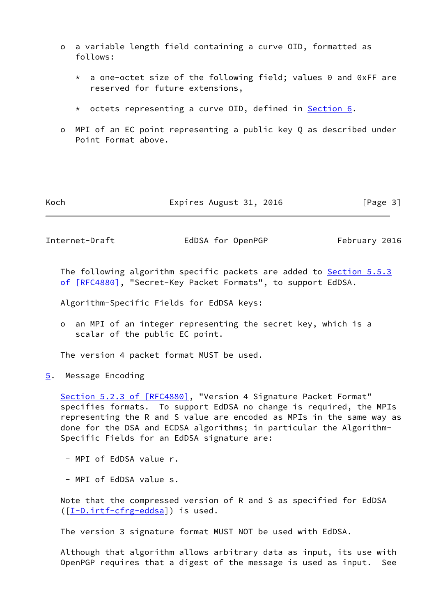- o a variable length field containing a curve OID, formatted as follows:
	- \* a one-octet size of the following field; values 0 and 0xFF are reserved for future extensions,
	- \* octets representing a curve OID, defined in [Section 6.](#page-4-0)
- o MPI of an EC point representing a public key Q as described under Point Format above.

| Koch | Expires August 31, 2016 | [Page 3] |
|------|-------------------------|----------|
|------|-------------------------|----------|

<span id="page-3-1"></span>Internet-Draft EdDSA for OpenPGP February 2016

The following algorithm specific packets are added to [Section](https://datatracker.ietf.org/doc/pdf/rfc4880#section-5.5.3) 5.5.3  [of \[RFC4880\]](https://datatracker.ietf.org/doc/pdf/rfc4880#section-5.5.3), "Secret-Key Packet Formats", to support EdDSA.

Algorithm-Specific Fields for EdDSA keys:

 o an MPI of an integer representing the secret key, which is a scalar of the public EC point.

The version 4 packet format MUST be used.

<span id="page-3-0"></span>[5](#page-3-0). Message Encoding

Section [5.2.3 of \[RFC4880\]](https://datatracker.ietf.org/doc/pdf/rfc4880#section-5.2.3), "Version 4 Signature Packet Format" specifies formats. To support EdDSA no change is required, the MPIs representing the R and S value are encoded as MPIs in the same way as done for the DSA and ECDSA algorithms; in particular the Algorithm- Specific Fields for an EdDSA signature are:

- MPI of EdDSA value r.

- MPI of EdDSA value s.

 Note that the compressed version of R and S as specified for EdDSA ([\[I-D.irtf-cfrg-eddsa](#page-5-5)]) is used.

The version 3 signature format MUST NOT be used with EdDSA.

 Although that algorithm allows arbitrary data as input, its use with OpenPGP requires that a digest of the message is used as input. See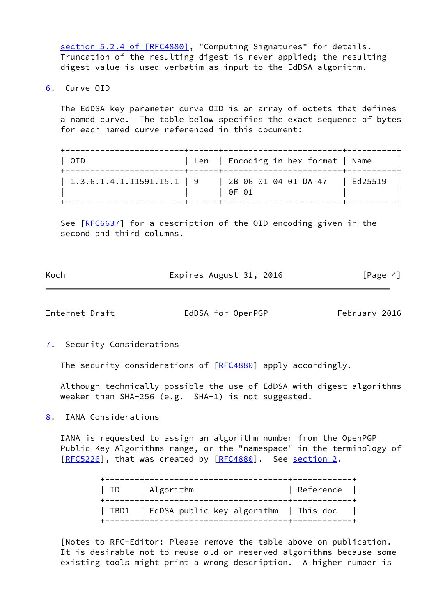section [5.2.4 of \[RFC4880\]](https://datatracker.ietf.org/doc/pdf/rfc4880#section-5.2.4), "Computing Signatures" for details. Truncation of the resulting digest is never applied; the resulting digest value is used verbatim as input to the EdDSA algorithm.

<span id="page-4-0"></span>[6](#page-4-0). Curve OID

 The EdDSA key parameter curve OID is an array of octets that defines a named curve. The table below specifies the exact sequence of bytes for each named curve referenced in this document:

| OID                                      | Len   Encoding in hex format   Name       |  |
|------------------------------------------|-------------------------------------------|--|
| $\vert$ 1.3.6.1.4.1.11591.15.1 $\vert$ 9 | 2B 06 01 04 01 DA 47   Ed25519<br>l 0F 01 |  |

See [\[RFC6637](https://datatracker.ietf.org/doc/pdf/rfc6637)] for a description of the OID encoding given in the second and third columns.

| Koch | Expires August 31, 2016 |  |          |
|------|-------------------------|--|----------|
|      |                         |  | [Page 4] |

<span id="page-4-2"></span>Internet-Draft EdDSA for OpenPGP February 2016

<span id="page-4-1"></span>[7](#page-4-1). Security Considerations

The security considerations of [\[RFC4880](https://datatracker.ietf.org/doc/pdf/rfc4880)] apply accordingly.

 Although technically possible the use of EdDSA with digest algorithms weaker than SHA-256 (e.g. SHA-1) is not suggested.

<span id="page-4-3"></span>[8](#page-4-3). IANA Considerations

 IANA is requested to assign an algorithm number from the OpenPGP Public-Key Algorithms range, or the "namespace" in the terminology of [\[RFC5226](https://datatracker.ietf.org/doc/pdf/rfc5226)], that was created by [\[RFC4880](https://datatracker.ietf.org/doc/pdf/rfc4880)]. See [section 2.](#page-1-2)

| ID   Algorithm                               | Reference |  |
|----------------------------------------------|-----------|--|
| TBD1   EdDSA public key algorithm   This doc |           |  |

 [Notes to RFC-Editor: Please remove the table above on publication. It is desirable not to reuse old or reserved algorithms because some existing tools might print a wrong description. A higher number is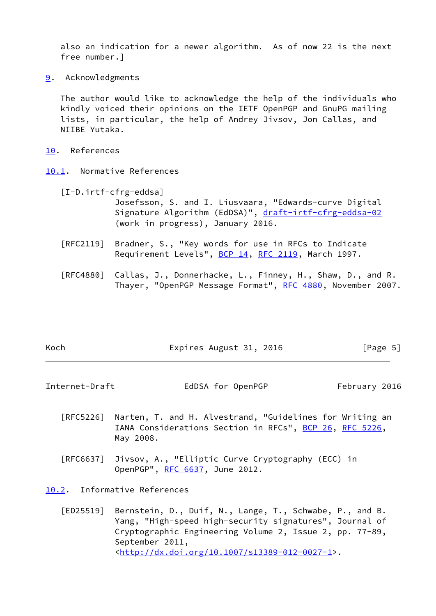also an indication for a newer algorithm. As of now 22 is the next free number.]

<span id="page-5-0"></span>[9](#page-5-0). Acknowledgments

 The author would like to acknowledge the help of the individuals who kindly voiced their opinions on the IETF OpenPGP and GnuPG mailing lists, in particular, the help of Andrey Jivsov, Jon Callas, and NIIBE Yutaka.

- <span id="page-5-1"></span>[10.](#page-5-1) References
- <span id="page-5-5"></span><span id="page-5-2"></span>[10.1](#page-5-2). Normative References
	- [I-D.irtf-cfrg-eddsa]

 Josefsson, S. and I. Liusvaara, "Edwards-curve Digital Signature Algorithm (EdDSA)", [draft-irtf-cfrg-eddsa-02](https://datatracker.ietf.org/doc/pdf/draft-irtf-cfrg-eddsa-02) (work in progress), January 2016.

- [RFC2119] Bradner, S., "Key words for use in RFCs to Indicate Requirement Levels", [BCP 14](https://datatracker.ietf.org/doc/pdf/bcp14), [RFC 2119](https://datatracker.ietf.org/doc/pdf/rfc2119), March 1997.
- [RFC4880] Callas, J., Donnerhacke, L., Finney, H., Shaw, D., and R. Thayer, "OpenPGP Message Format", [RFC 4880](https://datatracker.ietf.org/doc/pdf/rfc4880), November 2007.

| Koch | Expires August 31, 2016 | [Page 5] |
|------|-------------------------|----------|
|      |                         |          |

<span id="page-5-4"></span>Internet-Draft **EdDSA** for OpenPGP February 2016

- [RFC5226] Narten, T. and H. Alvestrand, "Guidelines for Writing an IANA Considerations Section in RFCs", [BCP 26](https://datatracker.ietf.org/doc/pdf/bcp26), [RFC 5226](https://datatracker.ietf.org/doc/pdf/rfc5226), May 2008.
- [RFC6637] Jivsov, A., "Elliptic Curve Cryptography (ECC) in OpenPGP", [RFC 6637](https://datatracker.ietf.org/doc/pdf/rfc6637), June 2012.

<span id="page-5-3"></span>[10.2](#page-5-3). Informative References

<span id="page-5-6"></span> [ED25519] Bernstein, D., Duif, N., Lange, T., Schwabe, P., and B. Yang, "High-speed high-security signatures", Journal of Cryptographic Engineering Volume 2, Issue 2, pp. 77-89, September 2011, <[http://dx.doi.org/10.1007/s13389-012-0027-1>](http://dx.doi.org/10.1007/s13389-012-0027-1).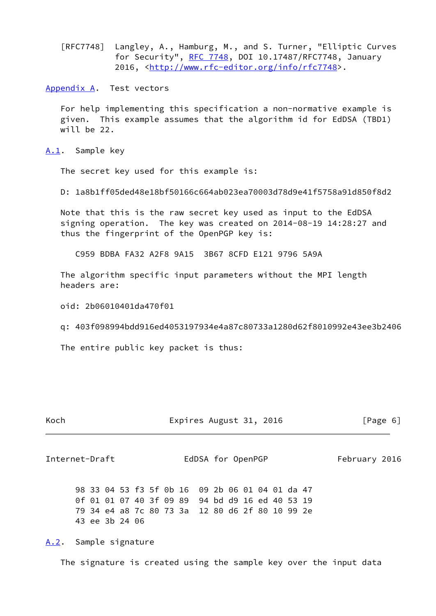[RFC7748] Langley, A., Hamburg, M., and S. Turner, "Elliptic Curves for Security", [RFC 7748](https://datatracker.ietf.org/doc/pdf/rfc7748), DOI 10.17487/RFC7748, January 2016, [<http://www.rfc-editor.org/info/rfc7748](http://www.rfc-editor.org/info/rfc7748)>.

<span id="page-6-0"></span>[Appendix A.](#page-6-0) Test vectors

 For help implementing this specification a non-normative example is given. This example assumes that the algorithm id for EdDSA (TBD1) will be 22.

<span id="page-6-1"></span>[A.1](#page-6-1). Sample key

The secret key used for this example is:

D: 1a8b1ff05ded48e18bf50166c664ab023ea70003d78d9e41f5758a91d850f8d2

 Note that this is the raw secret key used as input to the EdDSA signing operation. The key was created on 2014-08-19 14:28:27 and thus the fingerprint of the OpenPGP key is:

C959 BDBA FA32 A2F8 9A15 3B67 8CFD E121 9796 5A9A

 The algorithm specific input parameters without the MPI length headers are:

oid: 2b06010401da470f01

q: 403f098994bdd916ed4053197934e4a87c80733a1280d62f8010992e43ee3b2406

The entire public key packet is thus:

| Koch | Expires August 31, 2016 | [Page 6] |
|------|-------------------------|----------|
|      |                         |          |

<span id="page-6-3"></span>Internet-Draft EdDSA for OpenPGP February 2016

 98 33 04 53 f3 5f 0b 16 09 2b 06 01 04 01 da 47 0f 01 01 07 40 3f 09 89 94 bd d9 16 ed 40 53 19 79 34 e4 a8 7c 80 73 3a 12 80 d6 2f 80 10 99 2e 43 ee 3b 24 06

<span id="page-6-2"></span>[A.2](#page-6-2). Sample signature

The signature is created using the sample key over the input data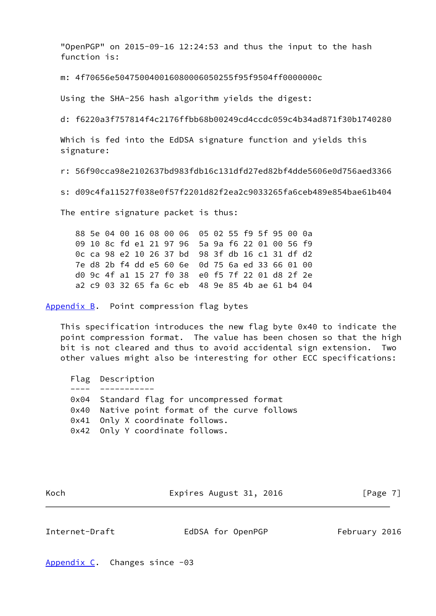"OpenPGP" on 2015-09-16 12:24:53 and thus the input to the hash function is:

m: 4f70656e504750040016080006050255f95f9504ff0000000c

Using the SHA-256 hash algorithm yields the digest:

d: f6220a3f757814f4c2176ffbb68b00249cd4ccdc059c4b34ad871f30b1740280

 Which is fed into the EdDSA signature function and yields this signature:

r: 56f90cca98e2102637bd983fdb16c131dfd27ed82bf4dde5606e0d756aed3366

s: d09c4fa11527f038e0f57f2201d82f2ea2c9033265fa6ceb489e854bae61b404

The entire signature packet is thus:

 88 5e 04 00 16 08 00 06 05 02 55 f9 5f 95 00 0a 09 10 8c fd e1 21 97 96 5a 9a f6 22 01 00 56 f9 0c ca 98 e2 10 26 37 bd 98 3f db 16 c1 31 df d2 7e d8 2b f4 dd e5 60 6e 0d 75 6a ed 33 66 01 00 d0 9c 4f a1 15 27 f0 38 e0 f5 7f 22 01 d8 2f 2e a2 c9 03 32 65 fa 6c eb 48 9e 85 4b ae 61 b4 04

<span id="page-7-0"></span>[Appendix B.](#page-7-0) Point compression flag bytes

 This specification introduces the new flag byte 0x40 to indicate the point compression format. The value has been chosen so that the high bit is not cleared and thus to avoid accidental sign extension. Two other values might also be interesting for other ECC specifications:

 Flag Description ---- ----------- 0x04 Standard flag for uncompressed format 0x40 Native point format of the curve follows 0x41 Only X coordinate follows. 0x42 Only Y coordinate follows.

Koch **Expires August 31, 2016** [Page 7]

<span id="page-7-2"></span>Internet-Draft **EdDSA** for OpenPGP February 2016

<span id="page-7-1"></span>[Appendix C.](#page-7-1) Changes since -03